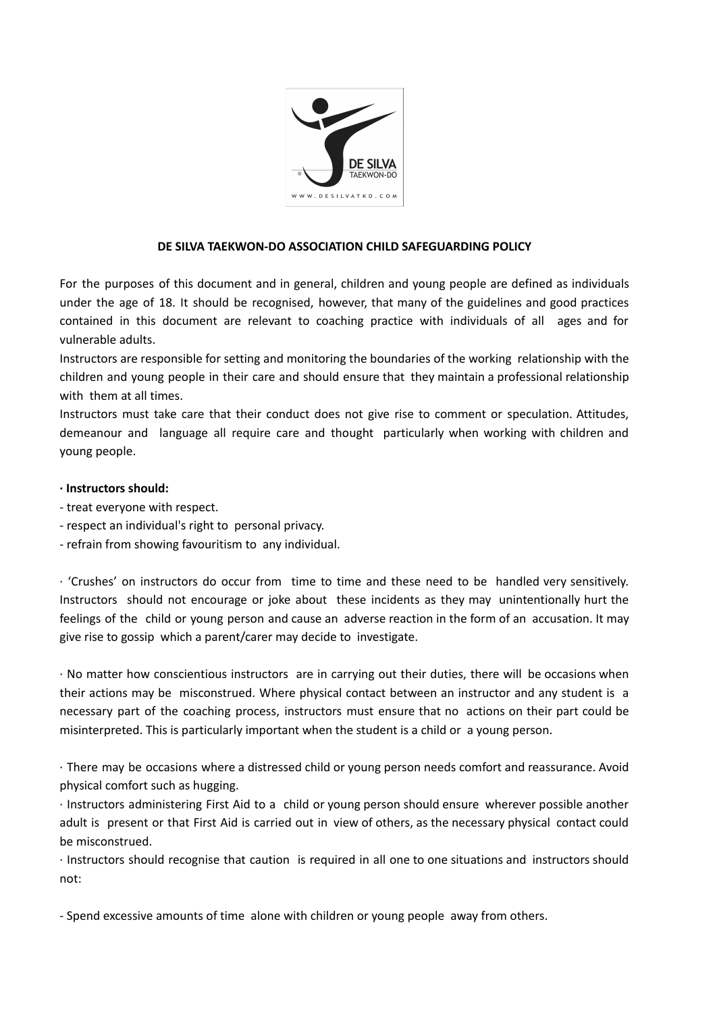

## **DE SILVA TAEKWON-DO ASSOCIATION CHILD SAFEGUARDING POLICY**

For the purposes of this document and in general, children and young people are defined as individuals under the age of 18. It should be recognised, however, that many of the guidelines and good practices contained in this document are relevant to coaching practice with individuals of all ages and for vulnerable adults.

Instructors are responsible for setting and monitoring the boundaries of the working relationship with the children and young people in their care and should ensure that they maintain a professional relationship with them at all times.

Instructors must take care that their conduct does not give rise to comment or speculation. Attitudes, demeanour and language all require care and thought particularly when working with children and young people.

#### **∙ Instructors should:**

- treat everyone with respect.
- respect an individual's right to personal privacy.
- refrain from showing favouritism to any individual.

∙ 'Crushes' on instructors do occur from time to time and these need to be handled very sensitively. Instructors should not encourage or joke about these incidents as they may unintentionally hurt the feelings of the child or young person and cause an adverse reaction in the form of an accusation. It may give rise to gossip which a parent/carer may decide to investigate.

∙ No matter how conscientious instructors are in carrying out their duties, there will be occasions when their actions may be misconstrued. Where physical contact between an instructor and any student is a necessary part of the coaching process, instructors must ensure that no actions on their part could be misinterpreted. This is particularly important when the student is a child or a young person.

∙ There may be occasions where a distressed child or young person needs comfort and reassurance. Avoid physical comfort such as hugging.

∙ Instructors administering First Aid to a child or young person should ensure wherever possible another adult is present or that First Aid is carried out in view of others, as the necessary physical contact could be misconstrued.

∙ Instructors should recognise that caution is required in all one to one situations and instructors should not:

- Spend excessive amounts of time alone with children or young people away from others.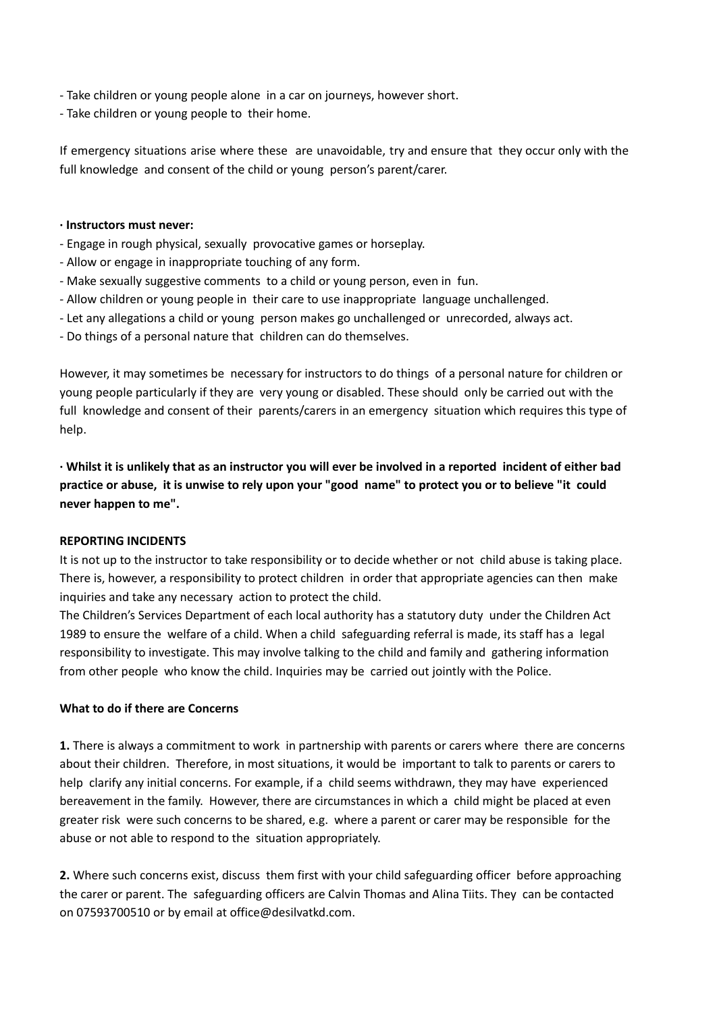- Take children or young people alone in a car on journeys, however short.
- Take children or young people to their home.

If emergency situations arise where these are unavoidable, try and ensure that they occur only with the full knowledge and consent of the child or young person's parent/carer.

### **∙ Instructors must never:**

- Engage in rough physical, sexually provocative games or horseplay.
- Allow or engage in inappropriate touching of any form.
- Make sexually suggestive comments to a child or young person, even in fun.
- Allow children or young people in their care to use inappropriate language unchallenged.
- Let any allegations a child or young person makes go unchallenged or unrecorded, always act.
- Do things of a personal nature that children can do themselves.

However, it may sometimes be necessary for instructors to do things of a personal nature for children or young people particularly if they are very young or disabled. These should only be carried out with the full knowledge and consent of their parents/carers in an emergency situation which requires this type of help.

· Whilst it is unlikely that as an instructor you will ever be involved in a reported incident of either bad practice or abuse, it is unwise to rely upon your "good name" to protect you or to believe "it could **never happen to me".**

#### **REPORTING INCIDENTS**

It is not up to the instructor to take responsibility or to decide whether or not child abuse is taking place. There is, however, a responsibility to protect children in order that appropriate agencies can then make inquiries and take any necessary action to protect the child.

The Children's Services Department of each local authority has a statutory duty under the Children Act 1989 to ensure the welfare of a child. When a child safeguarding referral is made, its staff has a legal responsibility to investigate. This may involve talking to the child and family and gathering information from other people who know the child. Inquiries may be carried out jointly with the Police.

#### **What to do if there are Concerns**

**1.** There is always a commitment to work in partnership with parents or carers where there are concerns about their children. Therefore, in most situations, it would be important to talk to parents or carers to help clarify any initial concerns. For example, if a child seems withdrawn, they may have experienced bereavement in the family. However, there are circumstances in which a child might be placed at even greater risk were such concerns to be shared, e.g. where a parent or carer may be responsible for the abuse or not able to respond to the situation appropriately.

**2.** Where such concerns exist, discuss them first with your child safeguarding officer before approaching the carer or parent. The safeguarding officers are Calvin Thomas and Alina Tiits. They can be contacted on 07593700510 or by email at office@desilvatkd.com.